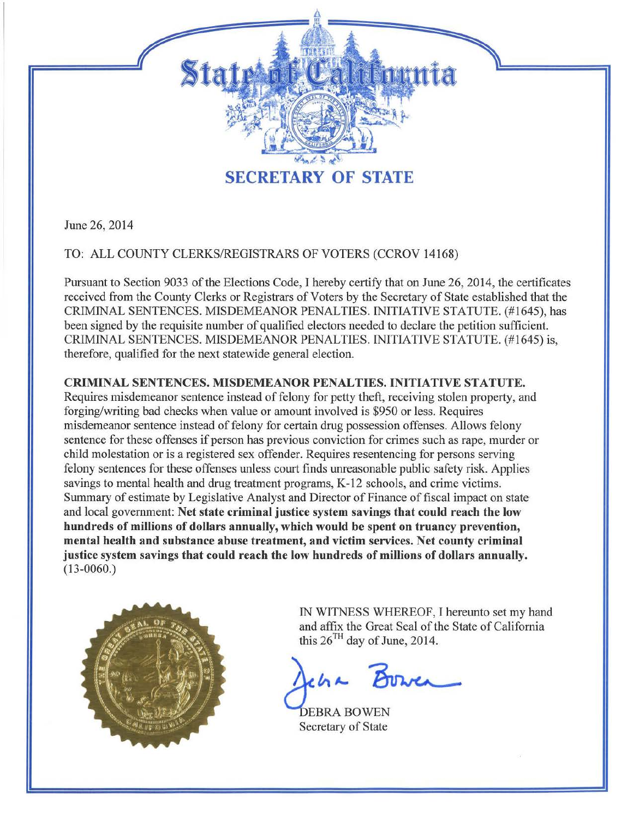

June 26, 2014

TO: ALL COUNTY CLERKS/REGISTRARS OF VOTERS (CCROV 14168)

Pursuant to Section 9033 of the Elections Code, I hereby certify that on June 26, 2014, the certificates received from the County Clerks or Registrars of Voters by the Secretary of State established that the CRIMINAL SENTENCES. MISDEMEANOR PENALTIES. INITIATIVE STATUTE . (#1645), has been signed by the requisite number of qualified electors needed to declare the petition sufficient. CRIMINAL SENTENCES. MISDEMEANOR PENALTIES. INITIATIVE STATUTE. (#1645) is, therefore, qualified for the next statewide general election.

## CRIMINAL SENTENCES. MISDEMEANOR PENALTIES. INITIATIVE STATUTE.

Requires misdemeanor sentence instead of felony for petty theft, receiving stolen property, and forging/writing bad checks when value or amount involved is \$950 or less. Requires misdemeanor sentence instead of felony for certain drug possession offenses. Allows felony sentence for these offenses if person has previous conviction for crimes such as rape, murder or child molestation or is a registered sex offender. Requires resentencing for persons serving felony sentences for these offenses unless court finds unreasonable public safety risk. Applies savings to mental health and drug treatment programs, K-12 schools, and crime victims. Summary of estimate by Legislative Analyst and Director of Finance of fiscal impact on state and local government: Net state criminal justice system savings that could reach the low hundreds of millions of dollars annually, which would be spent on truancy prevention, mental health and substance abuse treatment, and victim services. Net county criminal justice system savings that could reach the low hundreds of millions of dollars annually. (13-0060.)



IN WITNESS WHEREOF, I hereunto set my hand and affix the Great Seal of the State of California<br>this 26<sup>TH</sup> day of June, 2014.<br> **ACLA & BUDWEA** this  $26<sup>TH</sup>$  day of June, 2014.

Secretary of State